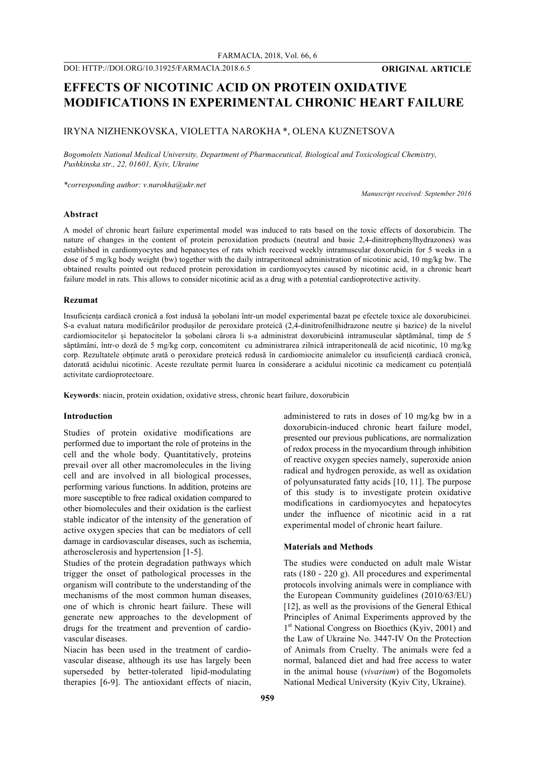# **EFFECTS OF NICOTINIC ACID ON PROTEIN OXIDATIVE MODIFICATIONS IN EXPERIMENTAL CHRONIC HEART FAILURE**

# IRYNA NIZHENKOVSKA, VIOLETTA NAROKHA \*, OLENA KUZNETSOVA

*Bogomolets National Medical University, Department of Pharmaceutical, Biological and Toxicological Chemistry, Pushkinska str., 22, 01601, Kyiv, Ukraine*

*\*corresponding author: v.narokha@ukr.net*

*Manuscript received: September 2016*

# **Abstract**

A model of chronic heart failure experimental model was induced to rats based on the toxic effects of doxorubicin. The nature of changes in the content of protein peroxidation products (neutral and basic 2,4-dinitrophenylhydrazones) was established in cardiomyocytes and hepatocytes of rats which received weekly intramuscular doxorubicin for 5 weeks in a dose of 5 mg/kg body weight (bw) together with the daily intraperitoneal administration of nicotinic acid, 10 mg/kg bw. The obtained results pointed out reduced protein peroxidation in cardiomyocytes caused by nicotinic acid, in a chronic heart failure model in rats. This allows to consider nicotinic acid as a drug with a potential cardioprotective activity.

#### **Rezumat**

Insuficiența cardiacă cronică a fost indusă la șobolani într-un model experimental bazat pe efectele toxice ale doxorubicinei. S-a evaluat natura modificărilor produșilor de peroxidare proteică (2,4-dinitrofenilhidrazone neutre și bazice) de la nivelul cardiomiocitelor și hepatocitelor la șobolani cărora li s-a administrat doxorubicină intramuscular săptămânal, timp de 5 săptămâni, într-o doză de 5 mg/kg corp, concomitent cu administrarea zilnică intraperitoneală de acid nicotinic, 10 mg/kg corp. Rezultatele obținute arată o peroxidare proteică redusă în cardiomiocite animalelor cu insuficiență cardiacă cronică, datorată acidului nicotinic. Aceste rezultate permit luarea în considerare a acidului nicotinic ca medicament cu potențială activitate cardioprotectoare.

**Keywords**: niacin, protein oxidation, oxidative stress, chronic heart failure, doxorubicin

#### **Introduction**

Studies of protein oxidative modifications are performed due to important the role of proteins in the cell and the whole body. Quantitatively, proteins prevail over all other macromolecules in the living cell and are involved in all biological processes, performing various functions. In addition, proteins are more susceptible to free radical oxidation compared to other biomolecules and their oxidation is the earliest stable indicator of the intensity of the generation of active oxygen species that can be mediators of cell damage in cardiovascular diseases, such as ischemia, atherosclerosis and hypertension [1-5].

Studies of the protein degradation pathways which trigger the onset of pathological processes in the organism will contribute to the understanding of the mechanisms of the most common human diseases, one of which is chronic heart failure. These will generate new approaches to the development of drugs for the treatment and prevention of cardiovascular diseases.

Niacin has been used in the treatment of cardiovascular disease, although its use has largely been superseded by better-tolerated lipid-modulating therapies [6-9]. The antioxidant effects of niacin, administered to rats in doses of 10 mg/kg bw in a doxorubicin-induced chronic heart failure model, presented our previous publications, are normalization of redox process in the myocardium through inhibition of reactive oxygen species namely, superoxide anion radical and hydrogen peroxide, as well as oxidation of polyunsaturated fatty acids [10, 11]. The purpose of this study is to investigate protein oxidative modifications in cardiomyocytes and hepatocytes under the influence of nicotinic acid in a rat experimental model of chronic heart failure.

#### **Materials and Methods**

The studies were conducted on adult male Wistar rats (180 - 220 g). All procedures and experimental protocols involving animals were in compliance with the European Community guidelines (2010/63/EU) [12], as well as the provisions of the General Ethical Principles of Animal Experiments approved by the 1<sup>st</sup> National Congress on Bioethics (Kyiv, 2001) and the Law of Ukraine No. 3447-IV On the Protection of Animals from Cruelty. The animals were fed a normal, balanced diet and had free access to water in the animal house (*vivarium*) of the Bogomolets National Medical University (Kyiv City, Ukraine).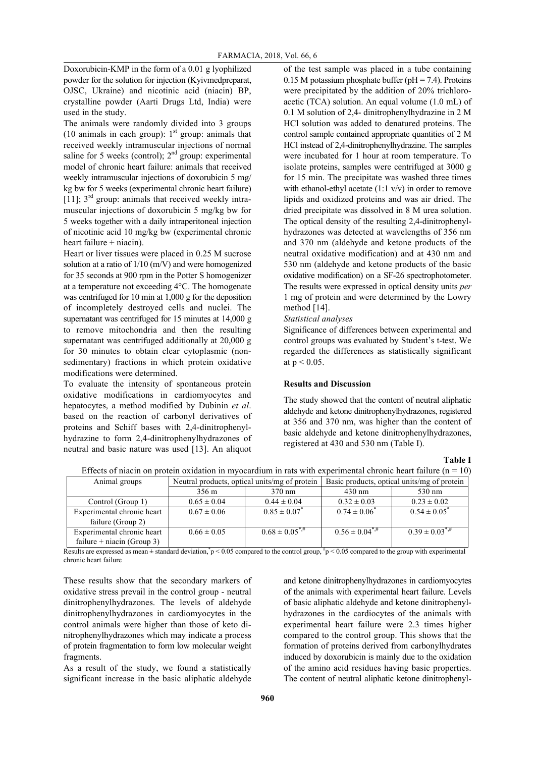Doxorubicin-KMP in the form of a 0.01 g lyophilized powder for the solution for injection (Kyivmedpreparat, OJSC, Ukraine) and nicotinic acid (niacin) BP, crystalline powder (Aarti Drugs Ltd, India) were used in the study.

The animals were randomly divided into 3 groups (10 animals in each group):  $1<sup>st</sup>$  group: animals that received weekly intramuscular injections of normal saline for 5 weeks (control);  $2<sup>nd</sup>$  group: experimental model of chronic heart failure: animals that received weekly intramuscular injections of doxorubicin 5 mg/ kg bw for 5 weeks (experimental chronic heart failure) [11];  $3<sup>rd</sup>$  group: animals that received weekly intramuscular injections of doxorubicin 5 mg/kg bw for 5 weeks together with a daily intraperitoneal injection of nicotinic acid 10 mg/kg bw (experimental chronic heart failure + niacin).

Heart or liver tissues were placed in 0.25 M sucrose solution at a ratio of 1/10 (m/V) and were homogenized for 35 seconds at 900 rpm in the Potter S homogenizer at a temperature not exceeding 4°C. The homogenate was centrifuged for 10 min at 1,000 g for the deposition of incompletely destroyed cells and nuclei. The supernatant was centrifuged for 15 minutes at 14,000 g to remove mitochondria and then the resulting supernatant was centrifuged additionally at 20,000 g for 30 minutes to obtain clear cytoplasmic (nonsedimentary) fractions in which protein oxidative modifications were determined.

To evaluate the intensity of spontaneous protein oxidative modifications in cardiomyocytes and hepatocytes, a method modified by Dubinin *et al*. based on the reaction of carbonyl derivatives of proteins and Schiff bases with 2,4-dinitrophenylhydrazine to form 2,4-dinitrophenylhydrazones of neutral and basic nature was used [13]. An aliquot of the test sample was placed in a tube containing 0.15 M potassium phosphate buffer ( $pH = 7.4$ ). Proteins were precipitated by the addition of 20% trichloroacetic (TCA) solution. An equal volume (1.0 mL) of 0.1 M solution of 2,4- dinitrophenylhydrazine in 2 M HCl solution was added to denatured proteins. The control sample contained appropriate quantities of 2 M HCl instead of 2,4-dinitrophenylhydrazine. The samples were incubated for 1 hour at room temperature. To isolate proteins, samples were centrifuged at 3000 g for 15 min. The precipitate was washed three times with ethanol-ethyl acetate  $(1:1 \text{ v/v})$  in order to remove lipids and oxidized proteins and was air dried. The dried precipitate was dissolved in 8 M urea solution. The optical density of the resulting 2,4-dinitrophenylhydrazones was detected at wavelengths of 356 nm and 370 nm (aldehyde and ketone products of the neutral oxidative modification) and at 430 nm and 530 nm (aldehyde and ketone products of the basic oxidative modification) on a SF-26 spectrophotometer. The results were expressed in optical density units *per* 1 mg of protein and were determined by the Lowry method [14].

# *Statistical analyses*

Significance of differences between experimental and control groups was evaluated by Student's t-test. We regarded the differences as statistically significant at  $p < 0.05$ .

# **Results and Discussion**

The study showed that the content of neutral aliphatic aldehyde and ketone dinitrophenylhydrazones, registered at 356 and 370 nm, was higher than the content of basic aldehyde and ketone dinitrophenylhydrazones, registered at 430 and 530 nm (Table I).

**Table I**

| Animal groups              | Neutral products, optical units/mg of protein |                              | Basic products, optical units/mg of protein |                           |
|----------------------------|-----------------------------------------------|------------------------------|---------------------------------------------|---------------------------|
|                            | 356 m                                         | 370 nm                       | $430 \text{ nm}$                            | 530 nm                    |
| Control (Group 1)          | $0.65 \pm 0.04$                               | $0.44 \pm 0.04$              | $0.32 \pm 0.03$                             | $0.23 \pm 0.02$           |
| Experimental chronic heart | $0.67 \pm 0.06$                               | $0.85 \pm 0.07$ <sup>*</sup> | $0.74 \pm 0.06^{\degree}$                   | $0.54 \pm 0.05^{\degree}$ |
| failure (Group 2)          |                                               |                              |                                             |                           |
| Experimental chronic heart | $0.66 \pm 0.05$                               | $0.68 \pm 0.05$ <sup>*</sup> | $0.56 \pm 0.04$ <sup>*,#</sup>              | $0.39 \pm 0.03^{*,\#}$    |
| failure + niacin (Group 3) |                                               |                              |                                             |                           |

Effects of niacin on protein oxidation in myocardium in rats with experimental chronic heart failure ( $n = 10$ ) Animal groups Neutral products, optical units/mg of protein | Basic products, optical units/mg of protein

Results are expressed as mean  $\pm$  standard deviation,  $\gamma$  < 0.05 compared to the control group,  $\eta$  = 0.05 compared to the group with experimental chronic heart failure

These results show that the secondary markers of oxidative stress prevail in the control group - neutral dinitrophenylhydrazones. The levels of aldehyde dinitrophenylhydrazones in cardiomyocytes in the control animals were higher than those of keto dinitrophenylhydrazones which may indicate a process of protein fragmentation to form low molecular weight fragments.

As a result of the study, we found a statistically significant increase in the basic aliphatic aldehyde

and ketone dinitrophenylhydrazones in cardiomyocytes of the animals with experimental heart failure. Levels of basic aliphatic aldehyde and ketone dinitrophenylhydrazones in the cardiocytes of the animals with experimental heart failure were 2.3 times higher compared to the control group. This shows that the formation of proteins derived from carbonylhydrates induced by doxorubicin is mainly due to the oxidation of the amino acid residues having basic properties. The content of neutral aliphatic ketone dinitrophenyl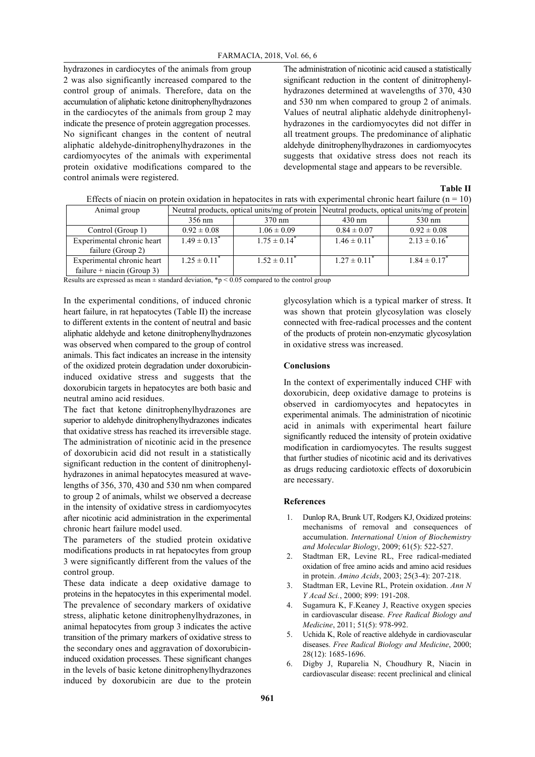hydrazones in cardiocytes of the animals from group 2 was also significantly increased compared to the control group of animals. Therefore, data on the accumulation of aliphatic ketone dinitrophenylhydrazones in the cardiocytes of the animals from group 2 may indicate the presence of protein aggregation processes. No significant changes in the content of neutral aliphatic aldehyde-dinitrophenylhydrazones in the cardiomyocytes of the animals with experimental protein oxidative modifications compared to the control animals were registered.

The administration of nicotinic acid caused a statistically significant reduction in the content of dinitrophenylhydrazones determined at wavelengths of 370, 430 and 530 nm when compared to group 2 of animals. Values of neutral aliphatic aldehyde dinitrophenylhydrazones in the cardiomyocytes did not differ in all treatment groups. The predominance of aliphatic aldehyde dinitrophenylhydrazones in cardiomyocytes suggests that oxidative stress does not reach its developmental stage and appears to be reversible.

| ۱<br>DI<br>ш<br>٠ |  |
|-------------------|--|
|-------------------|--|

| Animal group               |                              |                              | Neutral products, optical units/mg of protein Neutral products, optical units/mg of protein |                   |
|----------------------------|------------------------------|------------------------------|---------------------------------------------------------------------------------------------|-------------------|
|                            | 356 nm                       | $370 \text{ nm}$             | $430 \text{ nm}$                                                                            | 530 nm            |
| Control (Group 1)          | $0.92 \pm 0.08$              | $1.06 \pm 0.09$              | $0.84 \pm 0.07$                                                                             | $0.92 \pm 0.08$   |
| Experimental chronic heart | $1.49 \pm 0.13$ <sup>*</sup> | $1.75 \pm 0.14^*$            | $1.46 \pm 0.11^*$                                                                           | $2.13 \pm 0.16^*$ |
| failure (Group 2)          |                              |                              |                                                                                             |                   |
| Experimental chronic heart | $1.25 \pm 0.11$ <sup>*</sup> | $1.52 \pm 0.11$ <sup>*</sup> | $1.27 \pm 0.11^{\degree}$                                                                   | $1.84 \pm 0.17$   |
| failure + niacin (Group 3) |                              |                              |                                                                                             |                   |

Effects of niacin on protein oxidation in hepatocites in rats with experimental chronic heart failure ( $n = 10$ )

| Experimental chronic heart | $.25 \pm 0.11$ | $1.52 \pm 0.11$ | $1.27 \pm 0.11$ |
|----------------------------|----------------|-----------------|-----------------|
|----------------------------|----------------|-----------------|-----------------|

Results are expressed as mean  $\pm$  standard deviation, \*p < 0.05 compared to the control group

In the experimental conditions, of induced chronic heart failure, in rat hepatocytes (Table II) the increase to different extents in the content of neutral and basic aliphatic aldehyde and ketone dinitrophenylhydrazones was observed when compared to the group of control animals. This fact indicates an increase in the intensity of the oxidized protein degradation under doxorubicininduced oxidative stress and suggests that the doxorubicin targets in hepatocytes are both basic and neutral amino acid residues.

The fact that ketone dinitrophenylhydrazones are superior to aldehyde dinitrophenylhydrazones indicates that oxidative stress has reached its irreversible stage. The administration of nicotinic acid in the presence of doxorubicin acid did not result in a statistically significant reduction in the content of dinitrophenylhydrazones in animal hepatocytes measured at wavelengths of 356, 370, 430 and 530 nm when compared to group 2 of animals, whilst we observed a decrease in the intensity of oxidative stress in cardiomyocytes after nicotinic acid administration in the experimental chronic heart failure model used.

The parameters of the studied protein oxidative modifications products in rat hepatocytes from group 3 were significantly different from the values of the control group.

These data indicate a deep oxidative damage to proteins in the hepatocytes in this experimental model. The prevalence of secondary markers of oxidative stress, aliphatic ketone dinitrophenylhydrazones, in animal hepatocytes from group 3 indicates the active transition of the primary markers of oxidative stress to the secondary ones and aggravation of doxorubicininduced oxidation processes. These significant changes in the levels of basic ketone dinitrophenylhydrazones induced by doxorubicin are due to the protein

glycosylation which is a typical marker of stress. It was shown that protein glycosylation was closely connected with free-radical processes and the content of the products of protein non-enzymatic glycosylation in oxidative stress was increased.

### **Conclusions**

In the context of experimentally induced CHF with doxorubicin, deep oxidative damage to proteins is observed in cardiomyocytes and hepatocytes in experimental animals. The administration of nicotinic acid in animals with experimental heart failure significantly reduced the intensity of protein oxidative modification in cardiomyocytes. The results suggest that further studies of nicotinic acid and its derivatives as drugs reducing cardiotoxic effects of doxorubicin are necessary.

# **References**

- 1. Dunlop RA, Brunk UT, Rodgers KJ, Oxidized proteins: mechanisms of removal and consequences of accumulation. *International Union of Biochemistry and Molecular Biology*, 2009; 61(5): 522-527.
- 2. Stadtman ER, Levine RL, Free radical-mediated oxidation of free amino acids and amino acid residues in protein. *Amino Acids*, 2003; 25(3-4): 207-218.
- 3. Stadtman ER, Levine RL, Protein oxidation. *Ann N Y Acad Sci.*, 2000; 899: 191-208.
- 4. Sugamura K, F.Keaney J, Reactive oxygen species in cardiovascular disease. *Free Radical Biology and Medicine*, 2011; 51(5): 978-992.
- 5. Uchida K, Role of reactive aldehyde in cardiovascular diseases. *Free Radical Biology and Medicine*, 2000; 28(12): 1685-1696.
- 6. Digby J, Ruparelia N, Choudhury R, Niacin in cardiovascular disease: recent preclinical and clinical